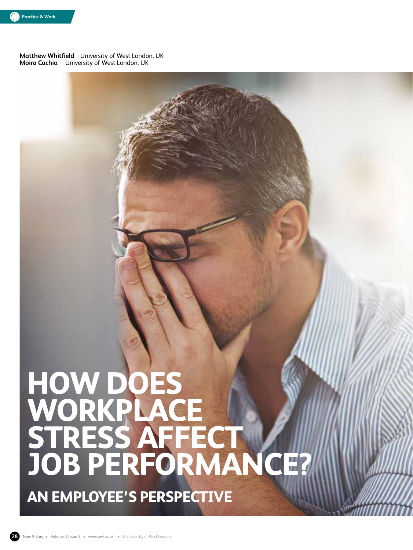

**Matthew Whitfield** | University of West London, UK **Moira Cachia** | University of West London, UK

# **HOW DOES WORKPLACE STRESS AFFECT JOB PERFORMANCE?**

**AN EMPLOYEE'S PERSPECTIVE**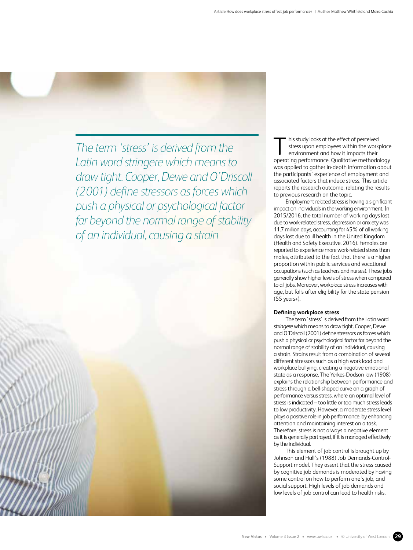*The term 'stress' is derived from the Latin word stringere which means to draw tight. Cooper, Dewe and O'Driscoll (2001) define stressors as forces which push a physical or psychological factor far beyond the normal range of stability of an individual, causing a strain*

his study looks at the effect of perceived stress upon employees within the workplace environment and how it impacts their operating performance. Qualitative methodology was applied to gather in-depth information about the participants' experience of employment and associated factors that induce stress. This article reports the research outcome, relating the results to previous research on the topic.

Employment related stress is having a significant impact on individuals in the working environment. In 2015/2016, the total number of working days lost due to work-related stress, depression or anxiety was 11.7 million days, accounting for 45% of all working days lost due to ill health in the United Kingdom (Health and Safety Executive, 2016). Females are reported to experience more work-related stress than males, attributed to the fact that there is a higher proportion within public services and vocational occupations (such as teachers and nurses). These jobs generally show higher levels of stress when compared to all jobs. Moreover, workplace stress increases with age, but falls after eligibility for the state pension (55 years+).

#### **Defining workplace stress**

The term 'stress' is derived from the Latin word *stringere* which means to draw tight. Cooper, Dewe and O'Driscoll (2001) define stressors as forces which push a physical or psychological factor far beyond the normal range of stability of an individual, causing a strain. Strains result from a combination of several different stressors such as a high work load and workplace bullying, creating a negative emotional state as a response. The Yerkes-Dodson law (1908) explains the relationship between performance and stress through a bell-shaped curve on a graph of performance versus stress, where an optimal level of stress is indicated – too little or too much stress leads to low productivity. However, a moderate stress level plays a positive role in job performance, by enhancing attention and maintaining interest on a task. Therefore, stress is not always a negative element as it is generally portrayed, if it is managed effectively by the individual.

This element of job control is brought up by Johnson and Hall's (1988) Job Demands-Control-Support model. They assert that the stress caused by cognitive job demands is moderated by having some control on how to perform one's job, and social support. High levels of job demands and low levels of job control can lead to health risks.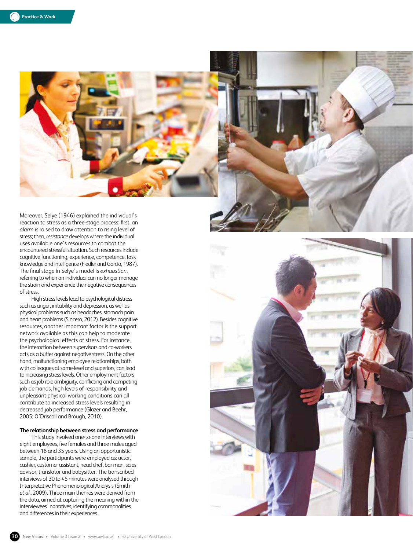

Moreover, Selye (1946) explained the individual's reaction to stress as a three-stage process: first, an *alarm* is raised to draw attention to rising level of stress; then, *resistance* develops where the individual uses available one's resources to combat the encountered stressful situation. Such resources include cognitive functioning, experience, competence, task knowledge and intelligence (Fiedler and Garcia, 1987). The final stage in Selye's model is *exhaustion*, referring to when an individual can no longer manage the strain and experience the negative consequences of stress.

High stress levels lead to psychological distress such as anger, irritability and depression, as well as physical problems such as headaches, stomach pain and heart problems (Sincero, 2012). Besides cognitive resources, another important factor is the support network available as this can help to moderate the psychological effects of stress. For instance, the interaction between supervisors and co-workers acts as a buffer against negative stress. On the other hand, malfunctioning employee relationships, both with colleagues at same-level and superiors, can lead to increasing stress levels. Other employment factors such as job role ambiguity, conflicting and competing job demands, high levels of responsibility and unpleasant physical working conditions can all contribute to increased stress levels resulting in decreased job performance (Glazer and Beehr, 2005; O'Driscoll and Brough, 2010).

### **The relationship between stress and performance**

This study involved one-to-one interviews with eight employees, five females and three males aged between 18 and 35 years. Using an opportunistic sample, the participants were employed as: actor, cashier, customer assistant, head chef, bar man, sales advisor, translator and babysitter. The transcribed interviews of 30 to 45 minutes were analysed through Interpretative Phenomenological Analysis (Smith *et al*., 2009). Three main themes were derived from the data, aimed at capturing the meaning within the interviewees' narratives, identifying commonalities and differences in their experiences.

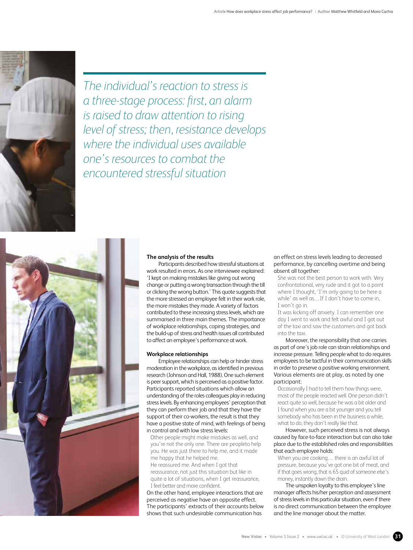

*The individual's reaction to stress is a three-stage process: first, an alarm is raised to draw attention to rising level of stress; then, resistance develops where the individual uses available one's resources to combat the encountered stressful situation*

## **The analysis of the results**

Participants described how stressful situations at work resulted in errors. As one interviewee explained: 'I kept on making mistakes like giving out wrong change or putting a wrong transaction through the till or clicking the wrong button.' This quote suggests that the more stressed an employee felt in their work role, the more mistakes they made. A variety of factors contributed to these increasing stress levels, which are summarised in three main themes. The importance of workplace relationships, coping strategies, and the build-up of stress and health issues all contributed to affect an employee's performance at work.

# **Workplace relationships**

Employee relationships can help or hinder stress moderation in the workplace, as identified in previous research (Johnson and Hall, 1988). One such element is peer support, which is perceived as a positive factor. Participants reported situations which allow an understanding of the roles colleagues play in reducing stress levels. By enhancing employees' perception that they can perform their job and that they have the support of their co-workers, the result is that they have a positive state of mind, with feelings of being in control and with low stress levels:

Other people might make mistakes as well, and you're not the only one. There are peopleto help you. He was just there to help me, and it made me happy that he helped me. He reassured me. And when I got that reassurance, not just this situation but like in quite a lot of situations, when I get reassurance, I feel better and more confident.

On the other hand, employee interactions that are perceived as negative have an opposite effect. The participants' extracts of their accounts below shows that such undesirable communication has

## an effect on stress levels leading to decreased performance, by cancelling overtime and being absent all together:

She was not the best person to work with. Very confrontational, very rude and it got to a point where I thought, 'I'm only going to be here a while' as well as…If I don't have to come in, I won't go in.

It was kicking off anxiety. I can remember one day I went to work and felt awful and I got out of the taxi and saw the customers and got back into the taxi.

Moreover, the responsibility that one carries as part of one's job role can strain relationships and increase pressure. Telling people what to do requires employees to be tactful in their communication skills in order to preserve a positive working environment. Various elements are at play, as noted by one participant:

Occasionally I had to tell them how things were, most of the people reacted well. One person didn't react quite so well, because he was a bit older and I found when you are a bit younger and you tell somebody who has been in the business a while, what to do, they don't really like that.

However, such perceived stress is not always caused by face-to-face interaction but can also take place due to the established roles and responsibilities that each employee holds:

When you are cooking… there is an awful lot of pressure, because you've got one bit of meat, and if that goes wrong, that is 65 quid of someone else's money, instantly down the drain.

The unspoken loyalty to this employee's line manager affects his/her perception and assessment of stress levels in this particular situation, even if there is no direct communication between the employee and the line manager about the matter.

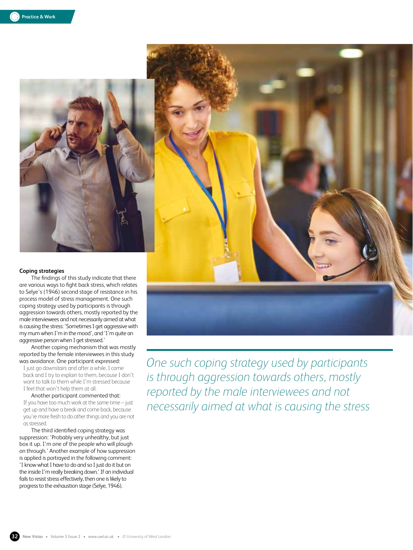

are various ways to fight back stress, which relates to Selye's (1946) second stage of resistance in his process model of stress management. One such coping strategy used by participants is through aggression towards others, mostly reported by the male interviewees and not necessarily aimed at what is causing the stress: 'Sometimes I get aggressive with my mum when I'm in the mood', and 'I'm quite an aggressive person when I get stressed.'

Another coping mechanism that was mostly reported by the female interviewees in this study was avoidance. One participant expressed:

I just go downstairs and after a while, I come back and I try to explain to them, because I don't want to talk to them while I'm stressed because I feel that won't help them at all.

Another participant commented that: If you have too much work at the same time – just get up and have a break and come back, because you're more fresh to do other things and you are not as stressed.

The third identified coping strategy was suppression: 'Probably very unhealthy, but just box it up. I'm one of the people who will plough on through.' Another example of how suppression is applied is portrayed in the following comment: 'I know what I have to do and so I just do it but on the inside I'm really breaking down.' If an individual fails to resist stress effectively, then one is likely to progress to the exhaustion stage (Selye, 1946).

*One such coping strategy used by participants is through aggression towards others, mostly reported by the male interviewees and not necessarily aimed at what is causing the stress*